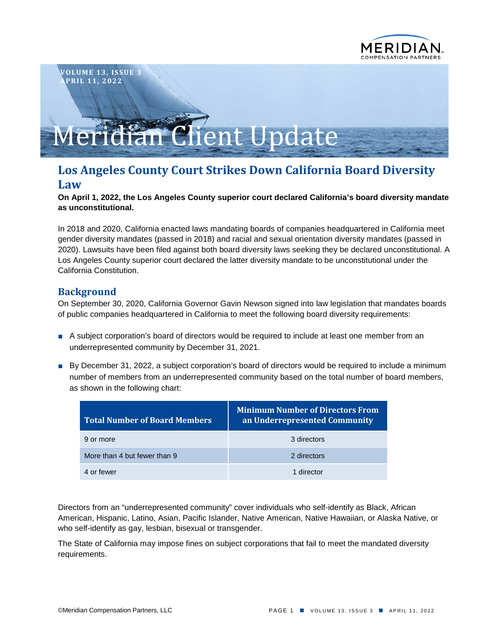

# Meridian Client Update

# **Los Angeles County Court Strikes Down California Board Diversity Law**

#### **On April 1, 2022, the Los Angeles County superior court declared California's board diversity mandate as unconstitutional.**

In 2018 and 2020, California enacted laws mandating boards of companies headquartered in California meet gender diversity mandates (passed in 2018) and racial and sexual orientation diversity mandates (passed in 2020). Lawsuits have been filed against both board diversity laws seeking they be declared unconstitutional. A Los Angeles County superior court declared the latter diversity mandate to be unconstitutional under the California Constitution.

# **Background**

On September 30, 2020, California Governor Gavin Newson signed into law legislation that mandates boards of public companies headquartered in California to meet the following board diversity requirements:

- A subject corporation's board of directors would be required to include at least one member from an underrepresented community by December 31, 2021.
- By December 31, 2022, a subject corporation's board of directors would be required to include a minimum number of members from an underrepresented community based on the total number of board members, as shown in the following chart:

| <b>Total Number of Board Members</b> | <b>Minimum Number of Directors From</b><br>an Underrepresented Community |
|--------------------------------------|--------------------------------------------------------------------------|
| 9 or more                            | 3 directors                                                              |
| More than 4 but fewer than 9         | 2 directors                                                              |
| 4 or fewer                           | 1 director                                                               |

Directors from an "underrepresented community" cover individuals who self-identify as Black, African American, Hispanic, Latino, Asian, Pacific Islander, Native American, Native Hawaiian, or Alaska Native, or who self-identify as gay, lesbian, bisexual or transgender.

The State of California may impose fines on subject corporations that fail to meet the mandated diversity requirements.